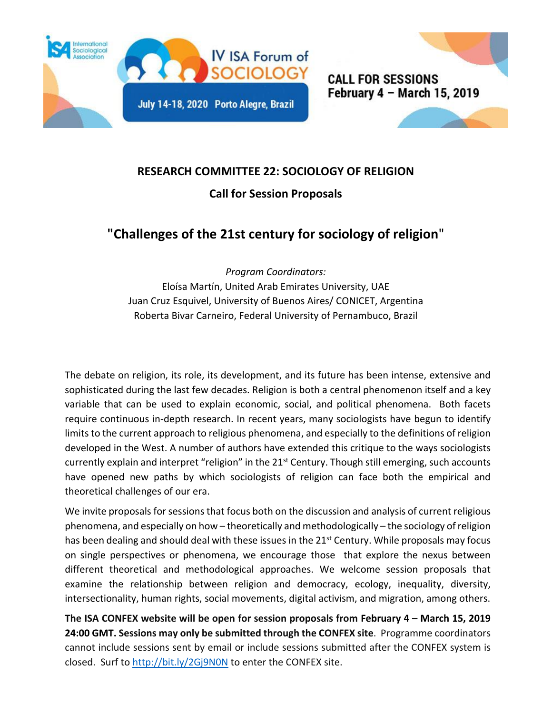



## **RESEARCH COMMITTEE 22: SOCIOLOGY OF RELIGION**

## **Call for Session Proposals**

## **"Challenges of the 21st century for sociology of religion**"

*Program Coordinators:*

Eloísa Martín, United Arab Emirates University, UAE Juan Cruz Esquivel, University of Buenos Aires/ CONICET, Argentina Roberta Bivar Carneiro, Federal University of Pernambuco, Brazil

The debate on religion, its role, its development, and its future has been intense, extensive and sophisticated during the last few decades. Religion is both a central phenomenon itself and a key variable that can be used to explain economic, social, and political phenomena. Both facets require continuous in-depth research. In recent years, many sociologists have begun to identify limits to the current approach to religious phenomena, and especially to the definitions of religion developed in the West. A number of authors have extended this critique to the ways sociologists currently explain and interpret "religion" in the 21<sup>st</sup> Century. Though still emerging, such accounts have opened new paths by which sociologists of religion can face both the empirical and theoretical challenges of our era.

We invite proposals for sessions that focus both on the discussion and analysis of current religious phenomena, and especially on how – theoretically and methodologically – the sociology ofreligion has been dealing and should deal with these issues in the 21<sup>st</sup> Century. While proposals may focus on single perspectives or phenomena, we encourage those that explore the nexus between different theoretical and methodological approaches. We welcome session proposals that examine the relationship between religion and democracy, ecology, inequality, diversity, intersectionality, human rights, social movements, digital activism, and migration, among others.

**The ISA CONFEX website will be open for session proposals from February 4 – March 15, 2019 24:00 GMT. Sessions may only be submitted through the CONFEX site**. Programme coordinators cannot include sessions sent by email or include sessions submitted after the CONFEX system is closed. Surf to<http://bit.ly/2Gj9N0N> to enter the CONFEX site.